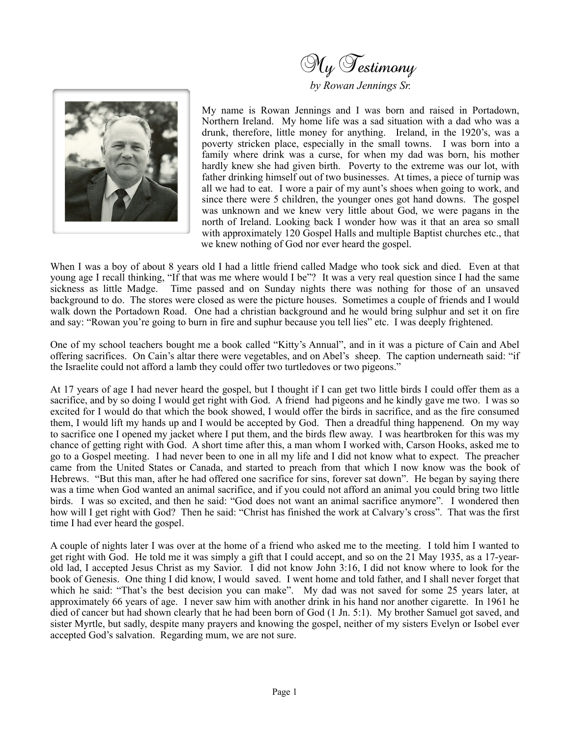



My name is Rowan Jennings and I was born and raised in Portadown, Northern Ireland. My home life was a sad situation with a dad who was a drunk, therefore, little money for anything. Ireland, in the 1920's, was a poverty stricken place, especially in the small towns. I was born into a family where drink was a curse, for when my dad was born, his mother hardly knew she had given birth. Poverty to the extreme was our lot, with father drinking himself out of two businesses. At times, a piece of turnip was all we had to eat. I wore a pair of my aunt's shoes when going to work, and since there were 5 children, the younger ones got hand downs. The gospel was unknown and we knew very little about God, we were pagans in the north of Ireland. Looking back I wonder how was it that an area so small with approximately 120 Gospel Halls and multiple Baptist churches etc., that we knew nothing of God nor ever heard the gospel.

When I was a boy of about 8 years old I had a little friend called Madge who took sick and died. Even at that young age I recall thinking, "If that was me where would I be"? It was a very real question since I had the same sickness as little Madge. Time passed and on Sunday nights there was nothing for those of an unsaved background to do. The stores were closed as were the picture houses. Sometimes a couple of friends and I would walk down the Portadown Road. One had a christian background and he would bring sulphur and set it on fire and say: "Rowan you're going to burn in fire and suphur because you tell lies" etc. I was deeply frightened.

One of my school teachers bought me a book called "Kitty's Annual", and in it was a picture of Cain and Abel offering sacrifices. On Cain's altar there were vegetables, and on Abel's sheep. The caption underneath said: "if the Israelite could not afford a lamb they could offer two turtledoves or two pigeons."

At 17 years of age I had never heard the gospel, but I thought if I can get two little birds I could offer them as a sacrifice, and by so doing I would get right with God. A friend had pigeons and he kindly gave me two. I was so excited for I would do that which the book showed, I would offer the birds in sacrifice, and as the fire consumed them, I would lift my hands up and I would be accepted by God. Then a dreadful thing happenend. On my way to sacrifice one I opened my jacket where I put them, and the birds flew away. I was heartbroken for this was my chance of getting right with God. A short time after this, a man whom I worked with, Carson Hooks, asked me to go to a Gospel meeting. I had never been to one in all my life and I did not know what to expect. The preacher came from the United States or Canada, and started to preach from that which I now know was the book of Hebrews. "But this man, after he had offered one sacrifice for sins, forever sat down". He began by saying there was a time when God wanted an animal sacrifice, and if you could not afford an animal you could bring two little birds. I was so excited, and then he said: "God does not want an animal sacrifice anymore". I wondered then how will I get right with God? Then he said: "Christ has finished the work at Calvary's cross". That was the first time I had ever heard the gospel.

A couple of nights later I was over at the home of a friend who asked me to the meeting. I told him I wanted to get right with God. He told me it was simply a gift that I could accept, and so on the 21 May 1935, as a 17-yearold lad, I accepted Jesus Christ as my Savior. I did not know John 3:16, I did not know where to look for the book of Genesis. One thing I did know, I would saved. I went home and told father, and I shall never forget that which he said: "That's the best decision you can make". My dad was not saved for some 25 years later, at approximately 66 years of age. I never saw him with another drink in his hand nor another cigarette. In 1961 he died of cancer but had shown clearly that he had been born of God (1 Jn. 5:1). My brother Samuel got saved, and sister Myrtle, but sadly, despite many prayers and knowing the gospel, neither of my sisters Evelyn or Isobel ever accepted God's salvation. Regarding mum, we are not sure.